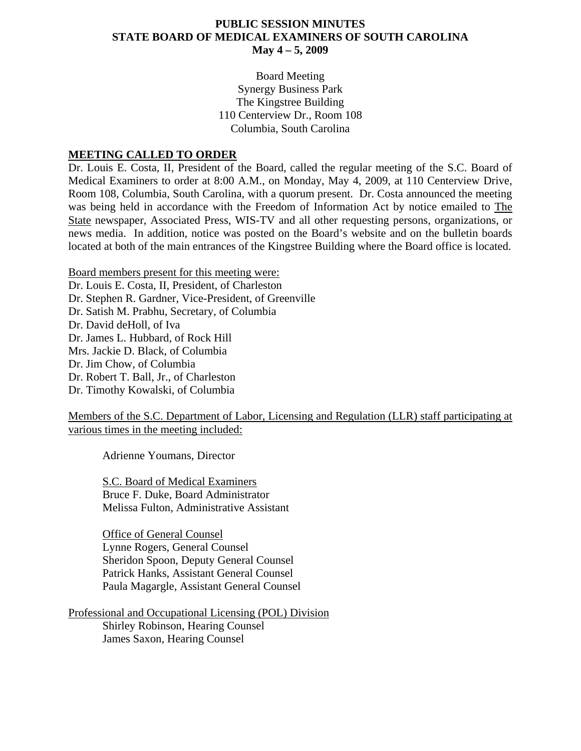#### **PUBLIC SESSION MINUTES STATE BOARD OF MEDICAL EXAMINERS OF SOUTH CAROLINA May 4 – 5, 2009**

Board Meeting Synergy Business Park The Kingstree Building 110 Centerview Dr., Room 108 Columbia, South Carolina

#### **MEETING CALLED TO ORDER**

Dr. Louis E. Costa, II, President of the Board, called the regular meeting of the S.C. Board of Medical Examiners to order at 8:00 A.M., on Monday, May 4, 2009, at 110 Centerview Drive, Room 108, Columbia, South Carolina, with a quorum present. Dr. Costa announced the meeting was being held in accordance with the Freedom of Information Act by notice emailed to The State newspaper, Associated Press, WIS-TV and all other requesting persons, organizations, or news media. In addition, notice was posted on the Board's website and on the bulletin boards located at both of the main entrances of the Kingstree Building where the Board office is located.

Board members present for this meeting were:

Dr. Louis E. Costa, II, President, of Charleston Dr. Stephen R. Gardner, Vice-President, of Greenville Dr. Satish M. Prabhu, Secretary, of Columbia Dr. David deHoll, of Iva Dr. James L. Hubbard, of Rock Hill Mrs. Jackie D. Black, of Columbia Dr. Jim Chow, of Columbia Dr. Robert T. Ball, Jr., of Charleston Dr. Timothy Kowalski, of Columbia

Members of the S.C. Department of Labor, Licensing and Regulation (LLR) staff participating at various times in the meeting included:

Adrienne Youmans, Director

S.C. Board of Medical Examiners Bruce F. Duke, Board Administrator Melissa Fulton, Administrative Assistant

 Office of General Counsel Lynne Rogers, General Counsel Sheridon Spoon, Deputy General Counsel Patrick Hanks, Assistant General Counsel Paula Magargle, Assistant General Counsel

Professional and Occupational Licensing (POL) Division Shirley Robinson, Hearing Counsel James Saxon, Hearing Counsel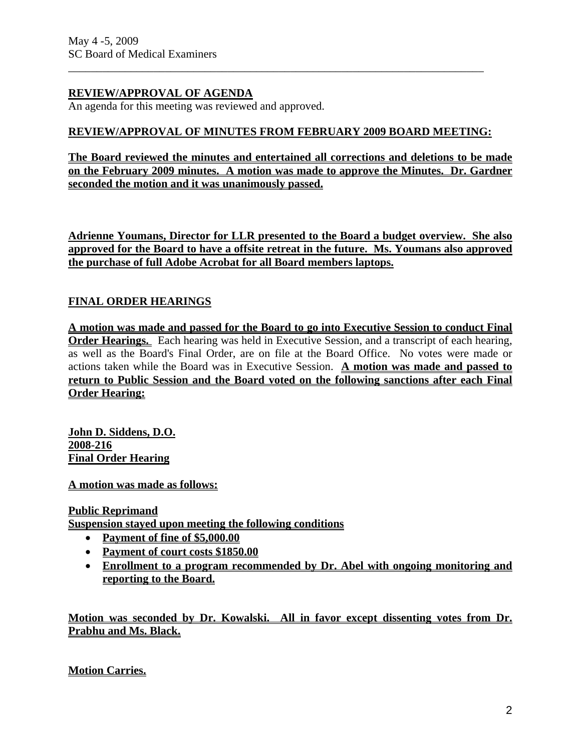### **REVIEW/APPROVAL OF AGENDA**

An agenda for this meeting was reviewed and approved.

### **REVIEW/APPROVAL OF MINUTES FROM FEBRUARY 2009 BOARD MEETING:**

\_\_\_\_\_\_\_\_\_\_\_\_\_\_\_\_\_\_\_\_\_\_\_\_\_\_\_\_\_\_\_\_\_\_\_\_\_\_\_\_\_\_\_\_\_\_\_\_\_\_\_\_\_\_\_\_\_\_\_\_\_\_\_\_\_\_\_\_\_\_\_\_\_

**The Board reviewed the minutes and entertained all corrections and deletions to be made on the February 2009 minutes. A motion was made to approve the Minutes. Dr. Gardner seconded the motion and it was unanimously passed.** 

**Adrienne Youmans, Director for LLR presented to the Board a budget overview. She also approved for the Board to have a offsite retreat in the future. Ms. Youmans also approved the purchase of full Adobe Acrobat for all Board members laptops.**

# **FINAL ORDER HEARINGS**

**A motion was made and passed for the Board to go into Executive Session to conduct Final Order Hearings.** Each hearing was held in Executive Session, and a transcript of each hearing, as well as the Board's Final Order, are on file at the Board Office. No votes were made or actions taken while the Board was in Executive Session. **A motion was made and passed to return to Public Session and the Board voted on the following sanctions after each Final Order Hearing:**

**John D. Siddens, D.O. 2008-216 Final Order Hearing**

**A motion was made as follows:**

**Public Reprimand**

**Suspension stayed upon meeting the following conditions**

- **Payment of fine of \$5,000.00**
- **Payment of court costs \$1850.00**
- **Enrollment to a program recommended by Dr. Abel with ongoing monitoring and reporting to the Board.**

**Motion was seconded by Dr. Kowalski. All in favor except dissenting votes from Dr. Prabhu and Ms. Black.**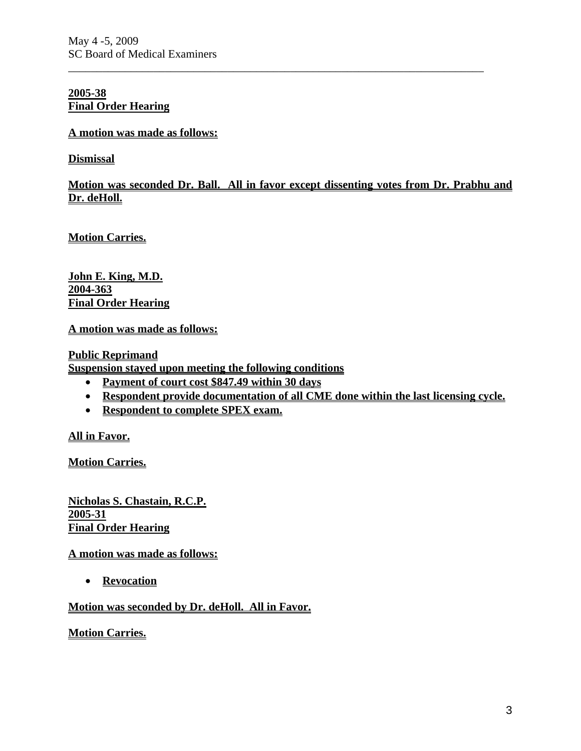#### **2005-38 Final Order Hearing**

### **A motion was made as follows:**

**Dismissal**

**Motion was seconded Dr. Ball. All in favor except dissenting votes from Dr. Prabhu and Dr. deHoll.** 

\_\_\_\_\_\_\_\_\_\_\_\_\_\_\_\_\_\_\_\_\_\_\_\_\_\_\_\_\_\_\_\_\_\_\_\_\_\_\_\_\_\_\_\_\_\_\_\_\_\_\_\_\_\_\_\_\_\_\_\_\_\_\_\_\_\_\_\_\_\_\_\_\_

**Motion Carries.**

**John E. King, M.D. 2004-363 Final Order Hearing**

**A motion was made as follows:**

**Public Reprimand**

**Suspension stayed upon meeting the following conditions**

- **Payment of court cost \$847.49 within 30 days**
- **Respondent provide documentation of all CME done within the last licensing cycle.**
- **Respondent to complete SPEX exam.**

**All in Favor.**

**Motion Carries.**

**Nicholas S. Chastain, R.C.P. 2005-31 Final Order Hearing**

**A motion was made as follows:**

• **Revocation**

### **Motion was seconded by Dr. deHoll. All in Favor.**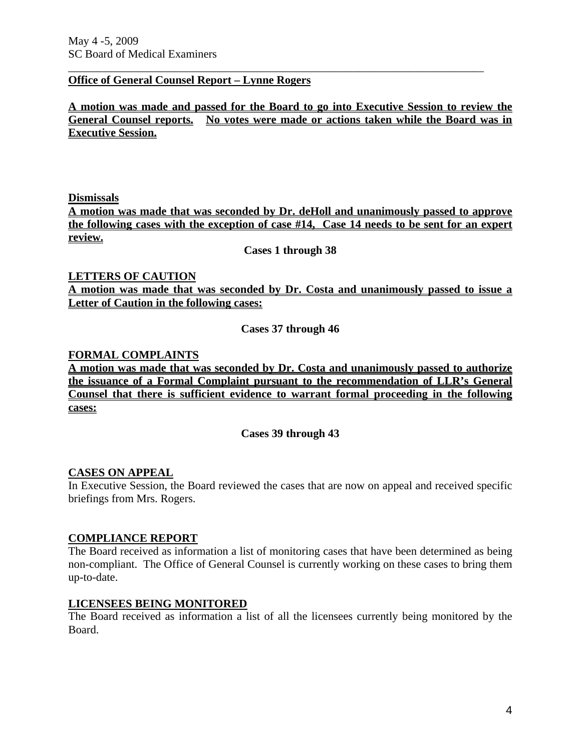#### **Office of General Counsel Report – Lynne Rogers**

**A motion was made and passed for the Board to go into Executive Session to review the General Counsel reports. No votes were made or actions taken while the Board was in Executive Session.** 

\_\_\_\_\_\_\_\_\_\_\_\_\_\_\_\_\_\_\_\_\_\_\_\_\_\_\_\_\_\_\_\_\_\_\_\_\_\_\_\_\_\_\_\_\_\_\_\_\_\_\_\_\_\_\_\_\_\_\_\_\_\_\_\_\_\_\_\_\_\_\_\_\_

**Dismissals**

**A motion was made that was seconded by Dr. deHoll and unanimously passed to approve the following cases with the exception of case #14, Case 14 needs to be sent for an expert review.** 

**Cases 1 through 38** 

# **LETTERS OF CAUTION**

**A motion was made that was seconded by Dr. Costa and unanimously passed to issue a Letter of Caution in the following cases:**

**Cases 37 through 46** 

#### **FORMAL COMPLAINTS**

**A motion was made that was seconded by Dr. Costa and unanimously passed to authorize the issuance of a Formal Complaint pursuant to the recommendation of LLR's General Counsel that there is sufficient evidence to warrant formal proceeding in the following cases:**

**Cases 39 through 43** 

#### **CASES ON APPEAL**

In Executive Session, the Board reviewed the cases that are now on appeal and received specific briefings from Mrs. Rogers.

#### **COMPLIANCE REPORT**

The Board received as information a list of monitoring cases that have been determined as being non-compliant. The Office of General Counsel is currently working on these cases to bring them up-to-date.

#### **LICENSEES BEING MONITORED**

The Board received as information a list of all the licensees currently being monitored by the Board.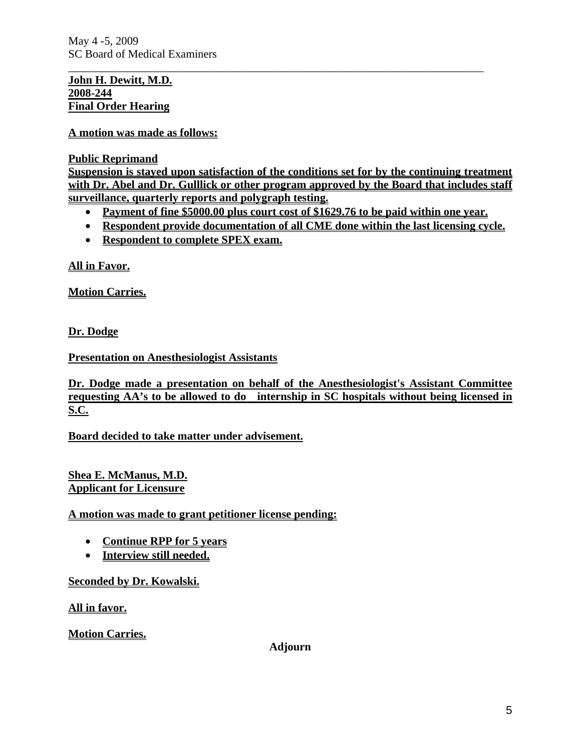May 4 -5, 2009 SC Board of Medical Examiners

### **John H. Dewitt, M.D. 2008-244 Final Order Hearing**

**A motion was made as follows:**

**Public Reprimand**

**Suspension is stayed upon satisfaction of the conditions set for by the continuing treatment with Dr. Abel and Dr. Gulllick or other program approved by the Board that includes staff surveillance, quarterly reports and polygraph testing.** 

\_\_\_\_\_\_\_\_\_\_\_\_\_\_\_\_\_\_\_\_\_\_\_\_\_\_\_\_\_\_\_\_\_\_\_\_\_\_\_\_\_\_\_\_\_\_\_\_\_\_\_\_\_\_\_\_\_\_\_\_\_\_\_\_\_\_\_\_\_\_\_\_\_

- **Payment of fine \$5000.00 plus court cost of \$1629.76 to be paid within one year.**
- **Respondent provide documentation of all CME done within the last licensing cycle.**
- **Respondent to complete SPEX exam.**

**All in Favor.**

**Motion Carries.**

**Dr. Dodge**

**Presentation on Anesthesiologist Assistants**

**Dr. Dodge made a presentation on behalf of the Anesthesiologist's Assistant Committee requesting AA's to be allowed to do internship in SC hospitals without being licensed in S.C.**

**Board decided to take matter under advisement.**

**Shea E. McManus, M.D. Applicant for Licensure**

**A motion was made to grant petitioner license pending:**

- **Continue RPP for 5 years**
- **Interview still needed.**

**Seconded by Dr. Kowalski.**

**All in favor.**

**Motion Carries.** 

**Adjourn**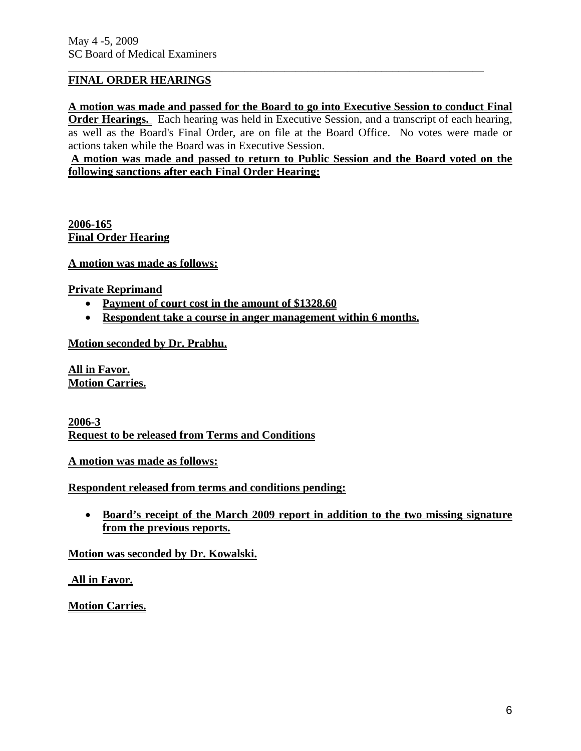### **FINAL ORDER HEARINGS**

**A motion was made and passed for the Board to go into Executive Session to conduct Final Order Hearings.** Each hearing was held in Executive Session, and a transcript of each hearing,

\_\_\_\_\_\_\_\_\_\_\_\_\_\_\_\_\_\_\_\_\_\_\_\_\_\_\_\_\_\_\_\_\_\_\_\_\_\_\_\_\_\_\_\_\_\_\_\_\_\_\_\_\_\_\_\_\_\_\_\_\_\_\_\_\_\_\_\_\_\_\_\_\_

as well as the Board's Final Order, are on file at the Board Office. No votes were made or actions taken while the Board was in Executive Session.

**A motion was made and passed to return to Public Session and the Board voted on the following sanctions after each Final Order Hearing:**

**2006-165 Final Order Hearing**

**A motion was made as follows:**

**Private Reprimand**

- **Payment of court cost in the amount of \$1328.60**
- **Respondent take a course in anger management within 6 months.**

**Motion seconded by Dr. Prabhu.**

**All in Favor. Motion Carries.**

**2006-3 Request to be released from Terms and Conditions**

**A motion was made as follows:**

**Respondent released from terms and conditions pending:**

• **Board's receipt of the March 2009 report in addition to the two missing signature from the previous reports.**

**Motion was seconded by Dr. Kowalski.**

 **All in Favor.**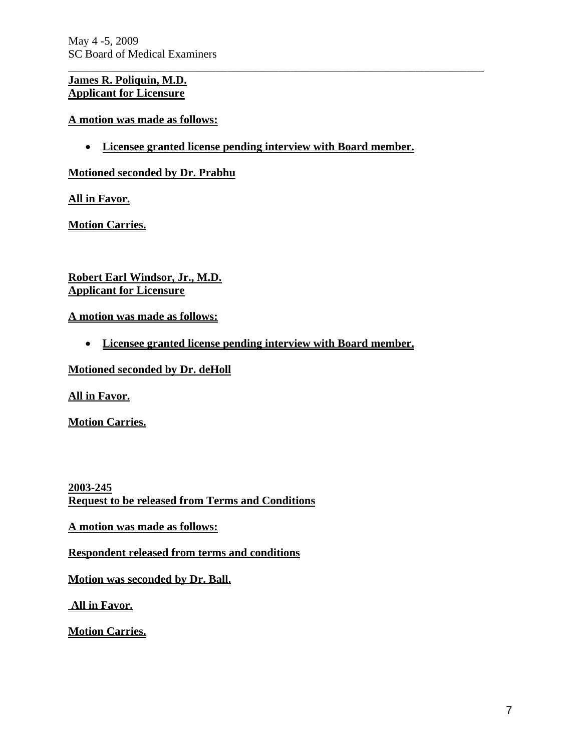May 4 -5, 2009 SC Board of Medical Examiners

### **James R. Poliquin, M.D. Applicant for Licensure**

**A motion was made as follows:**

• **Licensee granted license pending interview with Board member.**

\_\_\_\_\_\_\_\_\_\_\_\_\_\_\_\_\_\_\_\_\_\_\_\_\_\_\_\_\_\_\_\_\_\_\_\_\_\_\_\_\_\_\_\_\_\_\_\_\_\_\_\_\_\_\_\_\_\_\_\_\_\_\_\_\_\_\_\_\_\_\_\_\_

**Motioned seconded by Dr. Prabhu**

**All in Favor.**

**Motion Carries.**

**Robert Earl Windsor, Jr., M.D. Applicant for Licensure**

**A motion was made as follows:**

• **Licensee granted license pending interview with Board member.**

**Motioned seconded by Dr. deHoll**

**All in Favor.**

**Motion Carries.**

**2003-245 Request to be released from Terms and Conditions**

**A motion was made as follows:**

**Respondent released from terms and conditions** 

**Motion was seconded by Dr. Ball.**

 **All in Favor.**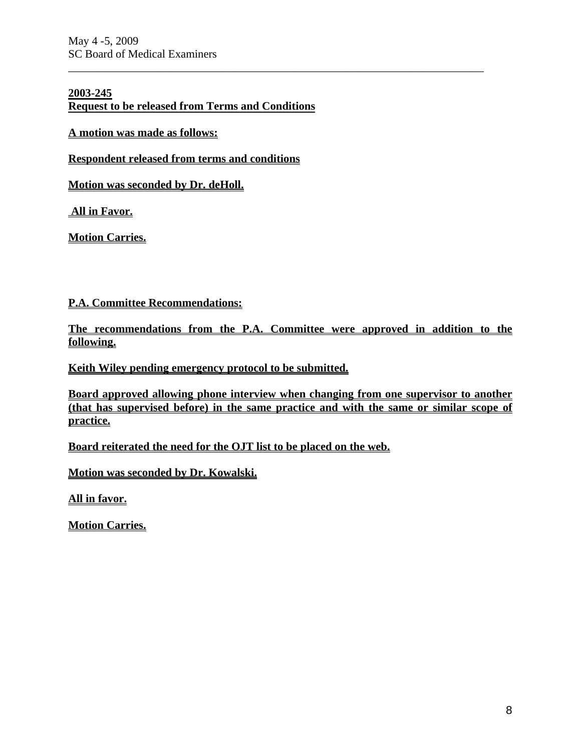#### **2003-245**

**Request to be released from Terms and Conditions**

**A motion was made as follows:**

**Respondent released from terms and conditions** 

**Motion was seconded by Dr. deHoll.**

 **All in Favor.**

**Motion Carries.**

**P.A. Committee Recommendations:**

**The recommendations from the P.A. Committee were approved in addition to the following.**

\_\_\_\_\_\_\_\_\_\_\_\_\_\_\_\_\_\_\_\_\_\_\_\_\_\_\_\_\_\_\_\_\_\_\_\_\_\_\_\_\_\_\_\_\_\_\_\_\_\_\_\_\_\_\_\_\_\_\_\_\_\_\_\_\_\_\_\_\_\_\_\_\_

**Keith Wiley pending emergency protocol to be submitted.**

**Board approved allowing phone interview when changing from one supervisor to another (that has supervised before) in the same practice and with the same or similar scope of practice.**

**Board reiterated the need for the OJT list to be placed on the web.**

**Motion was seconded by Dr. Kowalski.**

**All in favor.**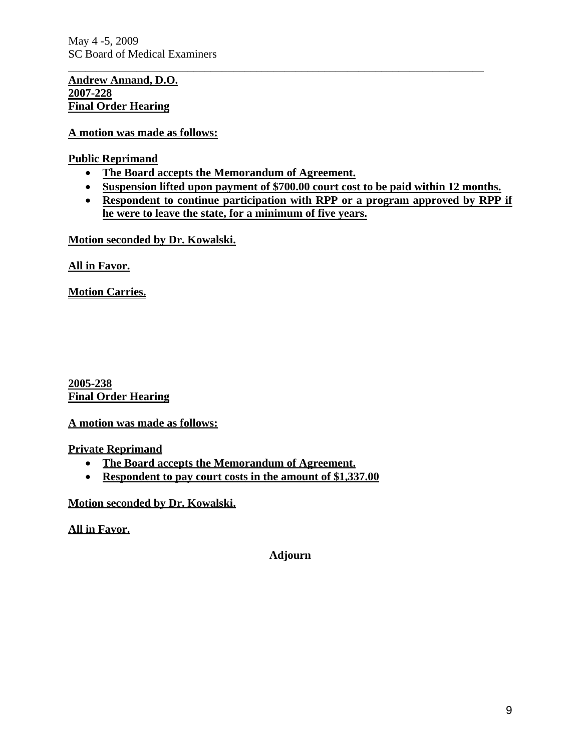May 4 -5, 2009 SC Board of Medical Examiners

**Andrew Annand, D.O. 2007-228 Final Order Hearing**

**A motion was made as follows:**

**Public Reprimand**

- **The Board accepts the Memorandum of Agreement.**
- **Suspension lifted upon payment of \$700.00 court cost to be paid within 12 months.**

\_\_\_\_\_\_\_\_\_\_\_\_\_\_\_\_\_\_\_\_\_\_\_\_\_\_\_\_\_\_\_\_\_\_\_\_\_\_\_\_\_\_\_\_\_\_\_\_\_\_\_\_\_\_\_\_\_\_\_\_\_\_\_\_\_\_\_\_\_\_\_\_\_

• **Respondent to continue participation with RPP or a program approved by RPP if he were to leave the state, for a minimum of five years.**

**Motion seconded by Dr. Kowalski.**

**All in Favor.**

**Motion Carries.**

**2005-238 Final Order Hearing**

**A motion was made as follows:**

**Private Reprimand**

- **The Board accepts the Memorandum of Agreement.**
- **Respondent to pay court costs in the amount of \$1,337.00**

**Motion seconded by Dr. Kowalski.**

**All in Favor.**

**Adjourn**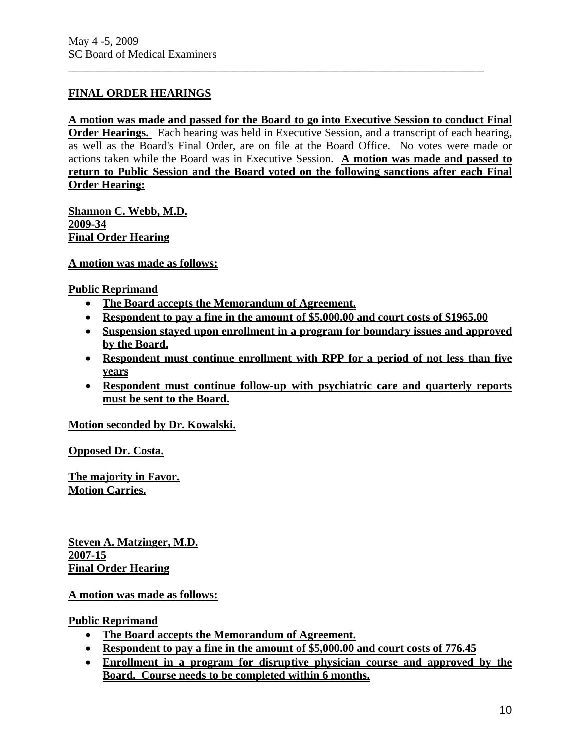# **FINAL ORDER HEARINGS**

# **A motion was made and passed for the Board to go into Executive Session to conduct Final**

\_\_\_\_\_\_\_\_\_\_\_\_\_\_\_\_\_\_\_\_\_\_\_\_\_\_\_\_\_\_\_\_\_\_\_\_\_\_\_\_\_\_\_\_\_\_\_\_\_\_\_\_\_\_\_\_\_\_\_\_\_\_\_\_\_\_\_\_\_\_\_\_\_

**Order Hearings.** Each hearing was held in Executive Session, and a transcript of each hearing, as well as the Board's Final Order, are on file at the Board Office. No votes were made or actions taken while the Board was in Executive Session. **A motion was made and passed to return to Public Session and the Board voted on the following sanctions after each Final Order Hearing:**

**Shannon C. Webb, M.D. 2009-34 Final Order Hearing**

**A motion was made as follows:**

#### **Public Reprimand**

- **The Board accepts the Memorandum of Agreement.**
- **Respondent to pay a fine in the amount of \$5,000.00 and court costs of \$1965.00**
- **Suspension stayed upon enrollment in a program for boundary issues and approved by the Board.**
- **Respondent must continue enrollment with RPP for a period of not less than five years**
- **Respondent must continue follow-up with psychiatric care and quarterly reports must be sent to the Board.**

### **Motion seconded by Dr. Kowalski.**

**Opposed Dr. Costa.**

**The majority in Favor. Motion Carries.**

**Steven A. Matzinger, M.D. 2007-15 Final Order Hearing**

### **A motion was made as follows:**

#### **Public Reprimand**

- **The Board accepts the Memorandum of Agreement.**
- **Respondent to pay a fine in the amount of \$5,000.00 and court costs of 776.45**
- **Enrollment in a program for disruptive physician course and approved by the Board. Course needs to be completed within 6 months.**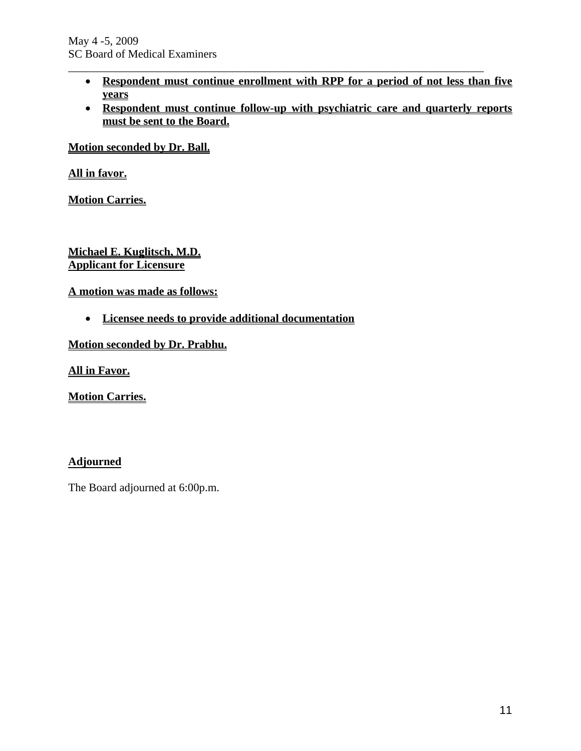• **Respondent must continue enrollment with RPP for a period of not less than five years**

\_\_\_\_\_\_\_\_\_\_\_\_\_\_\_\_\_\_\_\_\_\_\_\_\_\_\_\_\_\_\_\_\_\_\_\_\_\_\_\_\_\_\_\_\_\_\_\_\_\_\_\_\_\_\_\_\_\_\_\_\_\_\_\_\_\_\_\_\_\_\_\_\_

• **Respondent must continue follow-up with psychiatric care and quarterly reports must be sent to the Board.** 

**Motion seconded by Dr. Ball.**

**All in favor.**

**Motion Carries.**

**Michael E. Kuglitsch, M.D. Applicant for Licensure**

**A motion was made as follows:**

• **Licensee needs to provide additional documentation**

**Motion seconded by Dr. Prabhu.**

**All in Favor.**

**Motion Carries.**

### **Adjourned**

The Board adjourned at 6:00p.m.